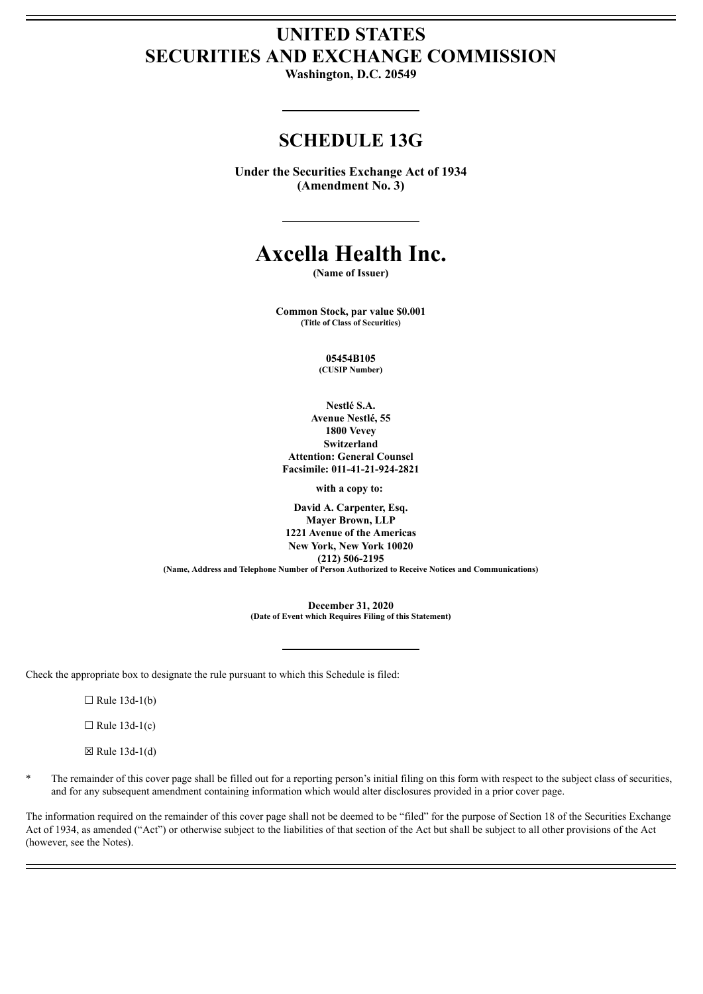# **UNITED STATES SECURITIES AND EXCHANGE COMMISSION**

**Washington, D.C. 20549**

# **SCHEDULE 13G**

**Under the Securities Exchange Act of 1934 (Amendment No. 3)**

# **Axcella Health Inc.**

**(Name of Issuer)**

**Common Stock, par value \$0.001 (Title of Class of Securities)**

> **05454B105 (CUSIP Number)**

**Nestlé S.A. Avenue Nestlé, 55 1800 Vevey Switzerland Attention: General Counsel Facsimile: 011-41-21-924-2821**

**with a copy to:**

**David A. Carpenter, Esq. Mayer Brown, LLP 1221 Avenue of the Americas New York, New York 10020 (212) 506-2195 (Name, Address and Telephone Number of Person Authorized to Receive Notices and Communications)**

> **December 31, 2020 (Date of Event which Requires Filing of this Statement)**

Check the appropriate box to designate the rule pursuant to which this Schedule is filed:

 $\Box$  Rule 13d-1(b)

 $\Box$  Rule 13d-1(c)

 $\boxtimes$  Rule 13d-1(d)

The remainder of this cover page shall be filled out for a reporting person's initial filing on this form with respect to the subject class of securities, and for any subsequent amendment containing information which would alter disclosures provided in a prior cover page.

The information required on the remainder of this cover page shall not be deemed to be "filed" for the purpose of Section 18 of the Securities Exchange Act of 1934, as amended ("Act") or otherwise subject to the liabilities of that section of the Act but shall be subject to all other provisions of the Act (however, see the Notes).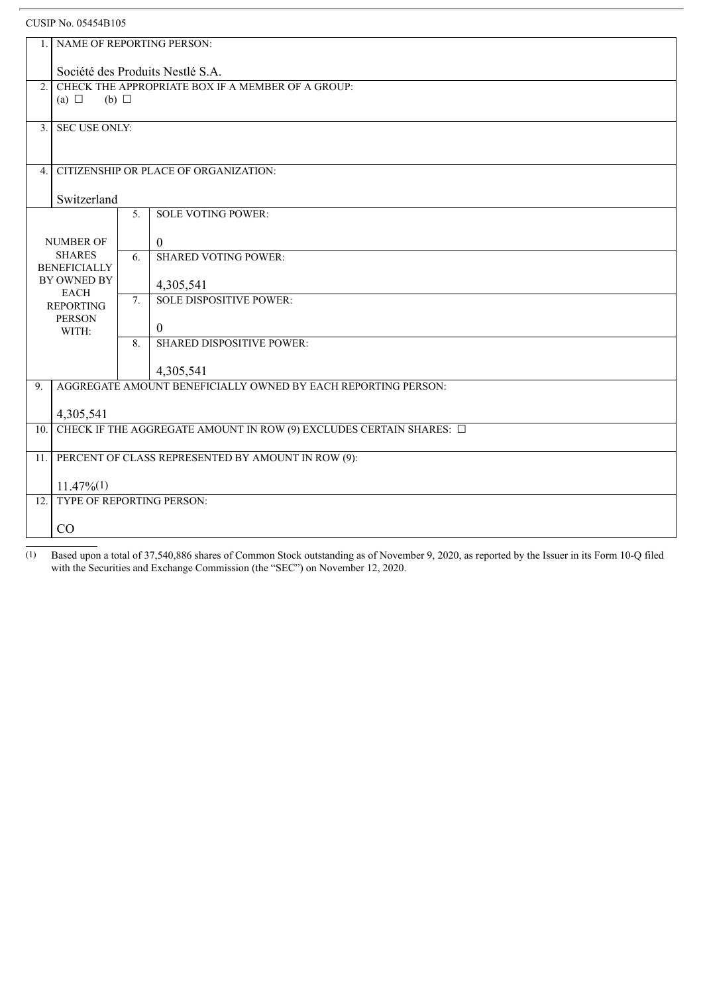# CUSIP No. 05454B105

| $\mathbf{1}$ .                                                                                                                | NAME OF REPORTING PERSON:                                                |                  |                                  |  |  |  |
|-------------------------------------------------------------------------------------------------------------------------------|--------------------------------------------------------------------------|------------------|----------------------------------|--|--|--|
|                                                                                                                               | Société des Produits Nestlé S.A.                                         |                  |                                  |  |  |  |
| 2.                                                                                                                            | CHECK THE APPROPRIATE BOX IF A MEMBER OF A GROUP:                        |                  |                                  |  |  |  |
|                                                                                                                               | (a) $\Box$<br>(b) $\Box$                                                 |                  |                                  |  |  |  |
| 3 <sub>1</sub>                                                                                                                | <b>SEC USE ONLY:</b>                                                     |                  |                                  |  |  |  |
|                                                                                                                               |                                                                          |                  |                                  |  |  |  |
| $\overline{4}$ .                                                                                                              | <b>CITIZENSHIP OR PLACE OF ORGANIZATION:</b>                             |                  |                                  |  |  |  |
|                                                                                                                               | Switzerland                                                              |                  |                                  |  |  |  |
|                                                                                                                               | <b>SOLE VOTING POWER:</b>                                                |                  |                                  |  |  |  |
|                                                                                                                               |                                                                          |                  | $\mathbf{0}$                     |  |  |  |
| NUMBER OF<br><b>SHARES</b><br><b>BENEFICIALLY</b><br>BY OWNED BY<br><b>EACH</b><br><b>REPORTING</b><br><b>PERSON</b><br>WITH: |                                                                          | 6 <sub>1</sub>   | <b>SHARED VOTING POWER:</b>      |  |  |  |
|                                                                                                                               |                                                                          |                  |                                  |  |  |  |
|                                                                                                                               |                                                                          |                  | 4,305,541                        |  |  |  |
|                                                                                                                               |                                                                          | $\overline{7}$ . | <b>SOLE DISPOSITIVE POWER:</b>   |  |  |  |
|                                                                                                                               |                                                                          |                  | $\overline{0}$                   |  |  |  |
|                                                                                                                               |                                                                          | 8.               | <b>SHARED DISPOSITIVE POWER:</b> |  |  |  |
|                                                                                                                               |                                                                          |                  | 4,305,541                        |  |  |  |
| 9.                                                                                                                            | AGGREGATE AMOUNT BENEFICIALLY OWNED BY EACH REPORTING PERSON:            |                  |                                  |  |  |  |
|                                                                                                                               | 4,305,541                                                                |                  |                                  |  |  |  |
| 10.                                                                                                                           | CHECK IF THE AGGREGATE AMOUNT IN ROW (9) EXCLUDES CERTAIN SHARES: $\Box$ |                  |                                  |  |  |  |
| 11.                                                                                                                           | PERCENT OF CLASS REPRESENTED BY AMOUNT IN ROW (9):                       |                  |                                  |  |  |  |
|                                                                                                                               |                                                                          |                  |                                  |  |  |  |
| 12.                                                                                                                           | $11.47\%(1)$<br>TYPE OF REPORTING PERSON:                                |                  |                                  |  |  |  |
|                                                                                                                               |                                                                          |                  |                                  |  |  |  |
| CO                                                                                                                            |                                                                          |                  |                                  |  |  |  |
|                                                                                                                               |                                                                          |                  |                                  |  |  |  |

(1) Based upon a total of 37,540,886 shares of Common Stock outstanding as of November 9, 2020, as reported by the Issuer in its Form 10-Q filed with the Securities and Exchange Commission (the "SEC") on November 12, 2020.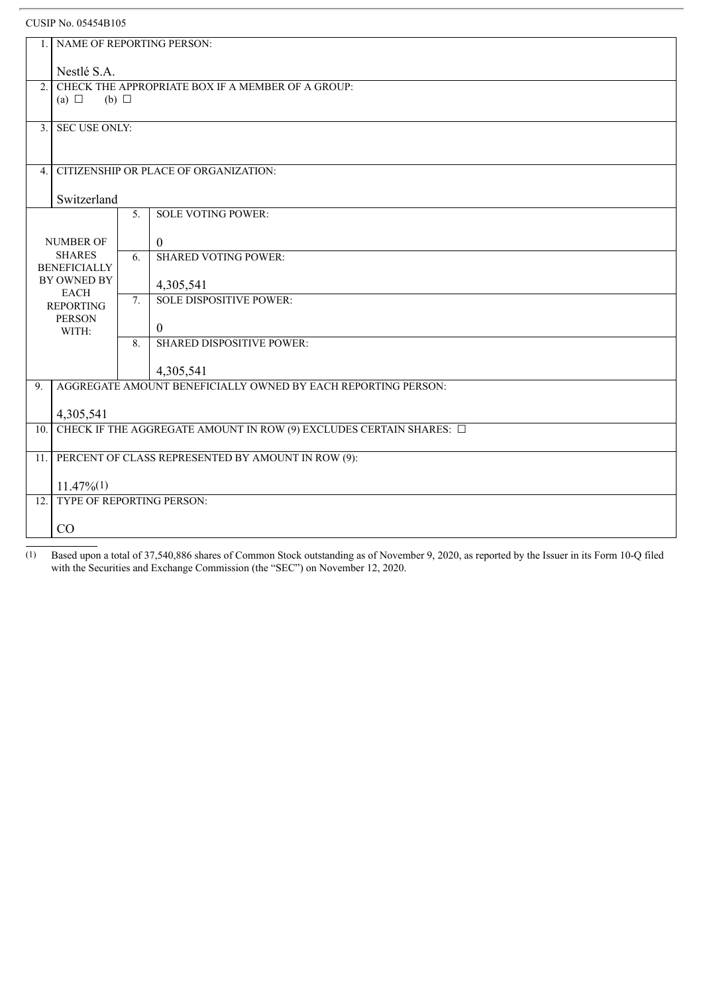# CUSIP No. 05454B105

| $\mathbf{1}$ .                                                                                                   | NAME OF REPORTING PERSON:                                                |                  |                                             |  |  |  |
|------------------------------------------------------------------------------------------------------------------|--------------------------------------------------------------------------|------------------|---------------------------------------------|--|--|--|
|                                                                                                                  | Nestlé S.A.                                                              |                  |                                             |  |  |  |
| 2 <sub>1</sub>                                                                                                   | CHECK THE APPROPRIATE BOX IF A MEMBER OF A GROUP:                        |                  |                                             |  |  |  |
|                                                                                                                  | (a) $\Box$<br>(b) $\Box$                                                 |                  |                                             |  |  |  |
|                                                                                                                  | 3. SEC USE ONLY:                                                         |                  |                                             |  |  |  |
|                                                                                                                  |                                                                          |                  |                                             |  |  |  |
|                                                                                                                  | <b>CITIZENSHIP OR PLACE OF ORGANIZATION:</b><br>4.                       |                  |                                             |  |  |  |
| Switzerland                                                                                                      |                                                                          |                  |                                             |  |  |  |
|                                                                                                                  |                                                                          | 5 <sub>1</sub>   | <b>SOLE VOTING POWER:</b>                   |  |  |  |
|                                                                                                                  | <b>NUMBER OF</b>                                                         |                  | $\mathbf{0}$                                |  |  |  |
| <b>SHARES</b><br><b>BENEFICIALLY</b><br>BY OWNED BY<br><b>EACH</b><br><b>REPORTING</b><br><b>PERSON</b><br>WITH: |                                                                          | 6.               | <b>SHARED VOTING POWER:</b>                 |  |  |  |
|                                                                                                                  |                                                                          |                  |                                             |  |  |  |
|                                                                                                                  |                                                                          | $\overline{7}$ . | 4,305,541<br><b>SOLE DISPOSITIVE POWER:</b> |  |  |  |
|                                                                                                                  |                                                                          |                  |                                             |  |  |  |
|                                                                                                                  |                                                                          |                  | $\theta$                                    |  |  |  |
|                                                                                                                  |                                                                          | 8.               | <b>SHARED DISPOSITIVE POWER:</b>            |  |  |  |
|                                                                                                                  |                                                                          |                  | 4,305,541                                   |  |  |  |
| 9 <sub>1</sub>                                                                                                   | AGGREGATE AMOUNT BENEFICIALLY OWNED BY EACH REPORTING PERSON:            |                  |                                             |  |  |  |
|                                                                                                                  | 4,305,541                                                                |                  |                                             |  |  |  |
| $\overline{10}$ .                                                                                                | CHECK IF THE AGGREGATE AMOUNT IN ROW (9) EXCLUDES CERTAIN SHARES: $\Box$ |                  |                                             |  |  |  |
|                                                                                                                  | PERCENT OF CLASS REPRESENTED BY AMOUNT IN ROW (9):<br>11.1               |                  |                                             |  |  |  |
|                                                                                                                  | $11.47\%(1)$                                                             |                  |                                             |  |  |  |
| 12.1                                                                                                             | TYPE OF REPORTING PERSON:                                                |                  |                                             |  |  |  |
|                                                                                                                  |                                                                          |                  |                                             |  |  |  |
| CO                                                                                                               |                                                                          |                  |                                             |  |  |  |
|                                                                                                                  |                                                                          |                  |                                             |  |  |  |

(1) Based upon a total of 37,540,886 shares of Common Stock outstanding as of November 9, 2020, as reported by the Issuer in its Form 10-Q filed with the Securities and Exchange Commission (the "SEC") on November 12, 2020.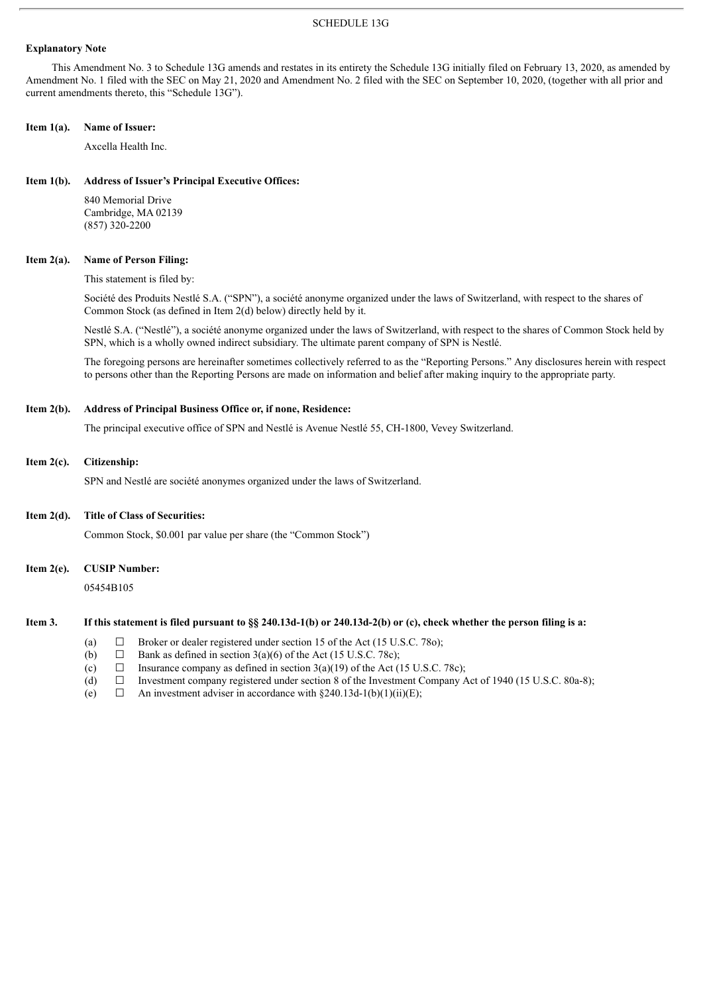#### SCHEDULE 13G

#### **Explanatory Note**

This Amendment No. 3 to Schedule 13G amends and restates in its entirety the Schedule 13G initially filed on February 13, 2020, as amended by Amendment No. 1 filed with the SEC on May 21, 2020 and Amendment No. 2 filed with the SEC on September 10, 2020, (together with all prior and current amendments thereto, this "Schedule 13G").

#### **Item 1(a). Name of Issuer:**

Axcella Health Inc.

#### **Item 1(b). Address of Issuer's Principal Executive Offices:**

840 Memorial Drive Cambridge, MA 02139 (857) 320-2200

#### **Item 2(a). Name of Person Filing:**

This statement is filed by:

Société des Produits Nestlé S.A. ("SPN"), a société anonyme organized under the laws of Switzerland, with respect to the shares of Common Stock (as defined in Item 2(d) below) directly held by it.

Nestlé S.A. ("Nestlé"), a société anonyme organized under the laws of Switzerland, with respect to the shares of Common Stock held by SPN, which is a wholly owned indirect subsidiary. The ultimate parent company of SPN is Nestlé.

The foregoing persons are hereinafter sometimes collectively referred to as the "Reporting Persons." Any disclosures herein with respect to persons other than the Reporting Persons are made on information and belief after making inquiry to the appropriate party.

#### **Item 2(b). Address of Principal Business Office or, if none, Residence:**

The principal executive office of SPN and Nestlé is Avenue Nestlé 55, CH-1800, Vevey Switzerland.

#### **Item 2(c). Citizenship:**

SPN and Nestlé are société anonymes organized under the laws of Switzerland.

#### **Item 2(d). Title of Class of Securities:**

Common Stock, \$0.001 par value per share (the "Common Stock")

**Item 2(e). CUSIP Number:**

05454B105

#### Item 3. If this statement is filed pursuant to §§ 240.13d-1(b) or 240.13d-2(b) or (c), check whether the person filing is a:

- (a)  $\Box$  Broker or dealer registered under section 15 of the Act (15 U.S.C. 780);
- (b)  $\Box$  Bank as defined in section 3(a)(6) of the Act (15 U.S.C. 78c);
- (c)  $\Box$  Insurance company as defined in section 3(a)(19) of the Act (15 U.S.C. 78c);
- (d) ☐ Investment company registered under section 8 of the Investment Company Act of 1940 (15 U.S.C. 80a-8);
- (e)  $\Box$  An investment adviser in accordance with §240.13d-1(b)(1)(ii)(E);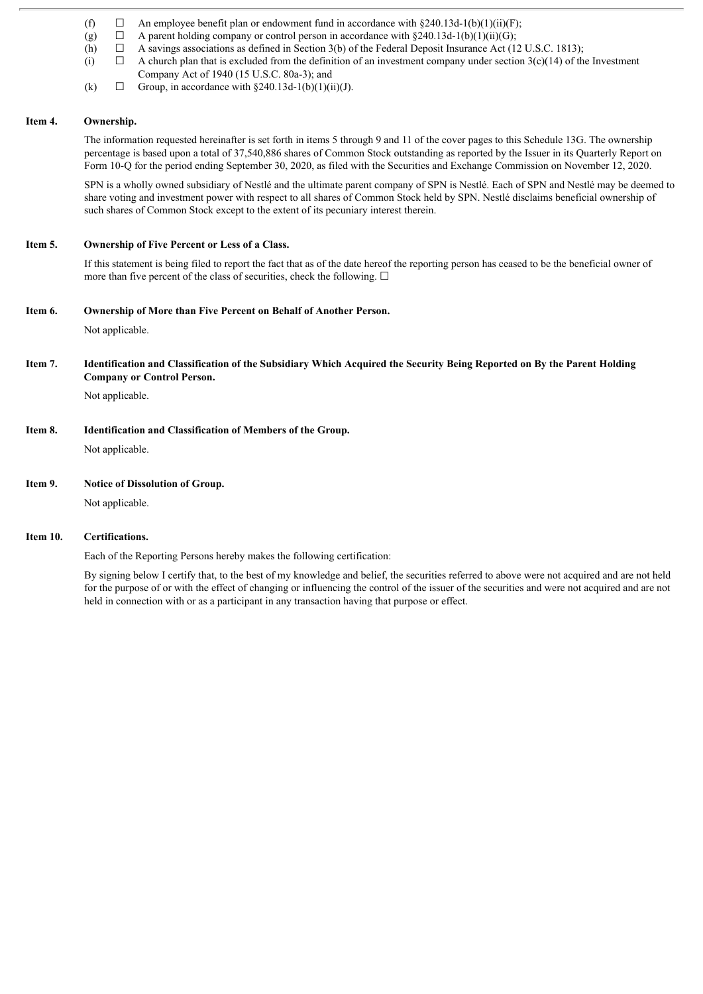- (f)  $\Box$  An employee benefit plan or endowment fund in accordance with §240.13d-1(b)(1)(ii)(F);
- (g)  $\Box$  A parent holding company or control person in accordance with §240.13d-1(b)(1)(ii)(G);
- (h)  $\Box$  A savings associations as defined in Section 3(b) of the Federal Deposit Insurance Act (12 U.S.C. 1813);
- (i)  $\Box$  A church plan that is excluded from the definition of an investment company under section 3(c)(14) of the Investment Company Act of 1940 (15 U.S.C. 80a-3); and
- (k)  $\Box$  Group, in accordance with  $\delta$ 240.13d-1(b)(1)(ii)(J).

### **Item 4. Ownership.**

The information requested hereinafter is set forth in items 5 through 9 and 11 of the cover pages to this Schedule 13G. The ownership percentage is based upon a total of 37,540,886 shares of Common Stock outstanding as reported by the Issuer in its Quarterly Report on Form 10-Q for the period ending September 30, 2020, as filed with the Securities and Exchange Commission on November 12, 2020.

SPN is a wholly owned subsidiary of Nestlé and the ultimate parent company of SPN is Nestlé. Each of SPN and Nestlé may be deemed to share voting and investment power with respect to all shares of Common Stock held by SPN. Nestlé disclaims beneficial ownership of such shares of Common Stock except to the extent of its pecuniary interest therein.

## **Item 5. Ownership of Five Percent or Less of a Class.**

If this statement is being filed to report the fact that as of the date hereof the reporting person has ceased to be the beneficial owner of more than five percent of the class of securities, check the following.  $\Box$ 

### **Item 6. Ownership of More than Five Percent on Behalf of Another Person.**

Not applicable.

## Item 7. Identification and Classification of the Subsidiary Which Acquired the Security Being Reported on By the Parent Holding **Company or Control Person.**

Not applicable.

## **Item 8. Identification and Classification of Members of the Group.**

Not applicable.

## **Item 9. Notice of Dissolution of Group.**

Not applicable.

## **Item 10. Certifications.**

Each of the Reporting Persons hereby makes the following certification:

By signing below I certify that, to the best of my knowledge and belief, the securities referred to above were not acquired and are not held for the purpose of or with the effect of changing or influencing the control of the issuer of the securities and were not acquired and are not held in connection with or as a participant in any transaction having that purpose or effect.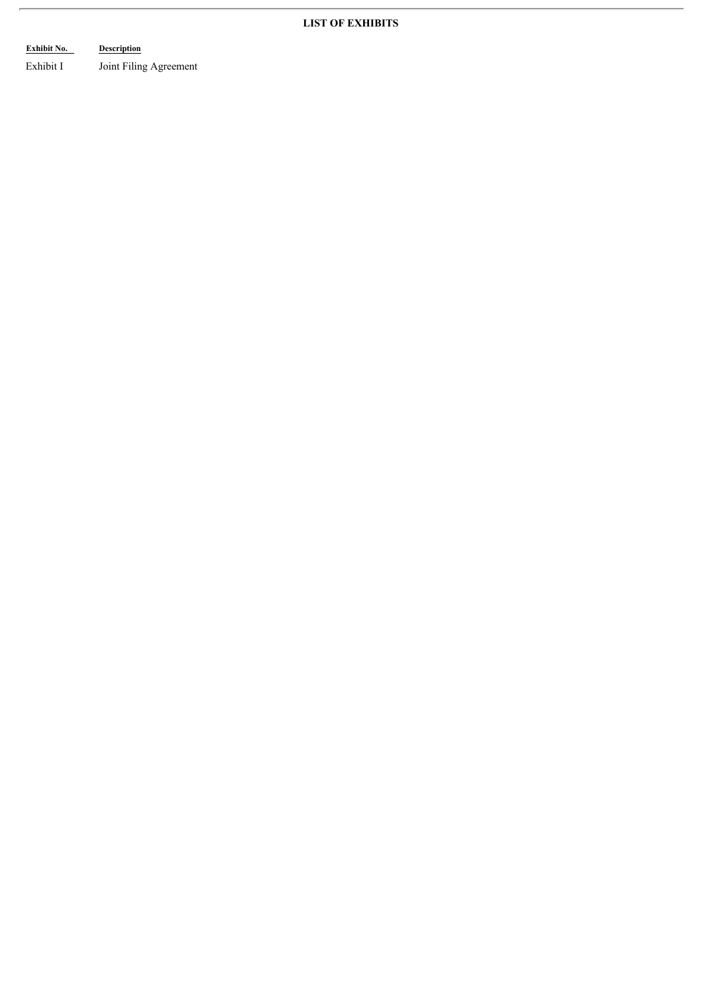# **LIST OF EXHIBITS**

# **Exhibit No. Description**

Exhibit I Joint Filing Agreement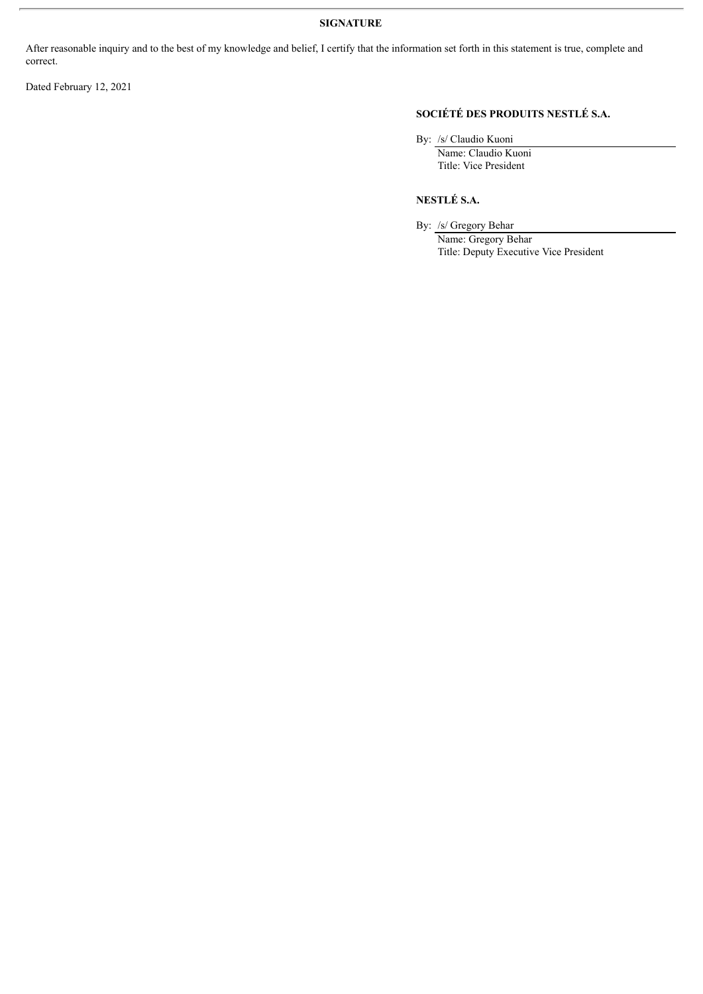# **SIGNATURE**

After reasonable inquiry and to the best of my knowledge and belief, I certify that the information set forth in this statement is true, complete and correct.

Dated February 12, 2021

# **SOCIÉTÉ DES PRODUITS NESTLÉ S.A.**

By: /s/ Claudio Kuoni

Name: Claudio Kuoni Title: Vice President

**NESTLÉ S.A.**

By: /s/ Gregory Behar

Name: Gregory Behar Title: Deputy Executive Vice President